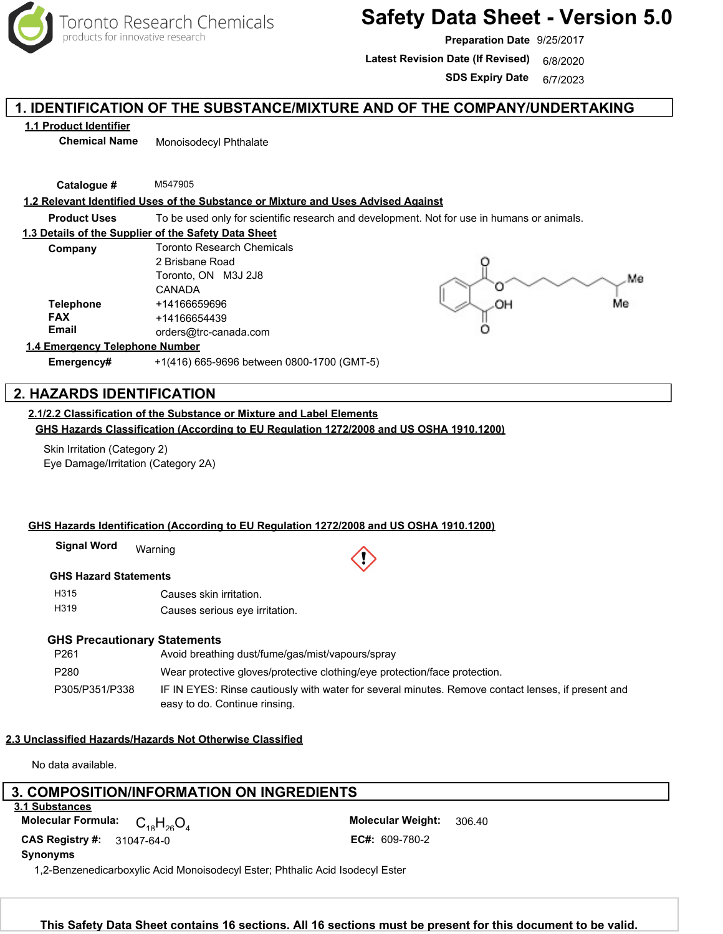

# **Safety Data Sheet - Version 5.0**

**Preparation Date** 9/25/2017

Latest Revision Date (If Revised) 6/8/2020

**SDS Expiry Date** 6/7/2023

# **1. IDENTIFICATION OF THE SUBSTANCE/MIXTURE AND OF THE COMPANY/UNDERTAKING**

**1.1 Product Identifier**

**Chemical Name** Monoisodecyl Phthalate

**Catalogue #** M547905

#### **1.2 Relevant Identified Uses of the Substance or Mixture and Uses Advised Against**

**Product Uses** To be used only for scientific research and development. Not for use in humans or animals.

#### **1.3 Details of the Supplier of the Safety Data Sheet**

| Company          | <b>Toronto Research Chemicals</b><br>2 Brisbane Road |  |  |
|------------------|------------------------------------------------------|--|--|
|                  |                                                      |  |  |
|                  | Toronto, ON M3J 2J8                                  |  |  |
|                  | CANADA                                               |  |  |
| <b>Telephone</b> | +14166659696                                         |  |  |
| <b>FAX</b>       | +14166654439                                         |  |  |
| <b>Email</b>     | orders@trc-canada.com                                |  |  |



#### **1.4 Emergency Telephone Number**

**Emergency#** +1(416) 665-9696 between 0800-1700 (GMT-5)

# **2. HAZARDS IDENTIFICATION**

#### **2.1/2.2 Classification of the Substance or Mixture and Label Elements**

**GHS Hazards Classification (According to EU Regulation 1272/2008 and US OSHA 1910.1200)**

Skin Irritation (Category 2) Eye Damage/Irritation (Category 2A)

#### **GHS Hazards Identification (According to EU Regulation 1272/2008 and US OSHA 1910.1200)**

Warning **Signal Word**

#### **GHS Hazard Statements**

H315 H319 Causes skin irritation. Causes serious eye irritation.

#### **GHS Precautionary Statements**

| P <sub>261</sub> | Avoid breathing dust/fume/gas/mist/vapours/spray                                                                                    |
|------------------|-------------------------------------------------------------------------------------------------------------------------------------|
| P <sub>280</sub> | Wear protective gloves/protective clothing/eye protection/face protection.                                                          |
| P305/P351/P338   | IF IN EYES: Rinse cautiously with water for several minutes. Remove contact lenses, if present and<br>easy to do. Continue rinsing. |

#### **2.3 Unclassified Hazards/Hazards Not Otherwise Classified**

No data available.

#### **3. COMPOSITION/INFORMATION ON INGREDIENTS 3.1 Substances**

 $C_{18}H_{26}O_4$ **CAS Registry #: 31047-64-0** 

306.40 EC#: 609-780-2 **Molecular Formula:**  $\bigcap$  **H**  $\bigcap$  **Molecular Weight:** 

**Synonyms**

1,2-Benzenedicarboxylic Acid Monoisodecyl Ester; Phthalic Acid Isodecyl Ester

Toronto Research Chemicals - M547905 Page <sup>1</sup> **This Safety Data Sheet contains 16 sections. All 16 sections must be present for this document to be valid.**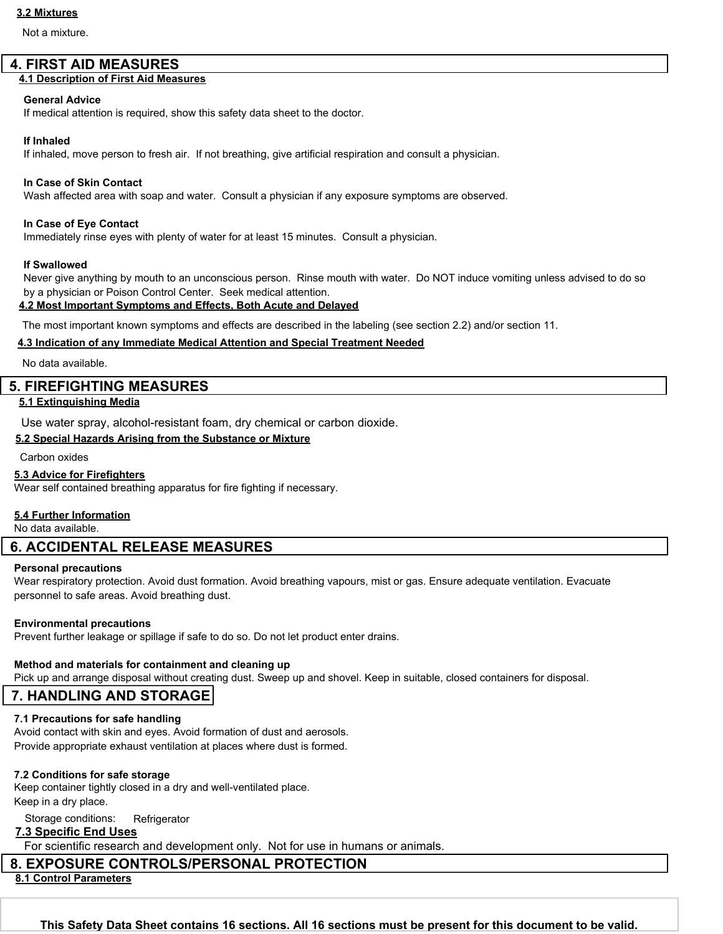#### **3.2 Mixtures**

Not a mixture.

# **4. FIRST AID MEASURES**

# **4.1 Description of First Aid Measures**

#### **General Advice**

If medical attention is required, show this safety data sheet to the doctor.

#### **If Inhaled**

If inhaled, move person to fresh air. If not breathing, give artificial respiration and consult a physician.

#### **In Case of Skin Contact**

Wash affected area with soap and water. Consult a physician if any exposure symptoms are observed.

#### **In Case of Eye Contact**

Immediately rinse eyes with plenty of water for at least 15 minutes. Consult a physician.

#### **If Swallowed**

Never give anything by mouth to an unconscious person. Rinse mouth with water. Do NOT induce vomiting unless advised to do so by a physician or Poison Control Center. Seek medical attention.

#### **4.2 Most Important Symptoms and Effects, Both Acute and Delayed**

The most important known symptoms and effects are described in the labeling (see section 2.2) and/or section 11.

#### **4.3 Indication of any Immediate Medical Attention and Special Treatment Needed**

No data available.

#### **5. FIREFIGHTING MEASURES**

#### **5.1 Extinguishing Media**

Use water spray, alcohol-resistant foam, dry chemical or carbon dioxide.

#### **5.2 Special Hazards Arising from the Substance or Mixture**

Carbon oxides

#### **5.3 Advice for Firefighters**

Wear self contained breathing apparatus for fire fighting if necessary.

#### **5.4 Further Information**

No data available.

# **6. ACCIDENTAL RELEASE MEASURES**

#### **Personal precautions**

Wear respiratory protection. Avoid dust formation. Avoid breathing vapours, mist or gas. Ensure adequate ventilation. Evacuate personnel to safe areas. Avoid breathing dust.

#### **Environmental precautions**

Prevent further leakage or spillage if safe to do so. Do not let product enter drains.

#### **Method and materials for containment and cleaning up**

Pick up and arrange disposal without creating dust. Sweep up and shovel. Keep in suitable, closed containers for disposal.

# **7. HANDLING AND STORAGE**

#### **7.1 Precautions for safe handling**

Avoid contact with skin and eyes. Avoid formation of dust and aerosols. Provide appropriate exhaust ventilation at places where dust is formed.

#### **7.2 Conditions for safe storage**

Keep container tightly closed in a dry and well-ventilated place. Keep in a dry place.

# Storage conditions: Refrigerator

# **7.3 Specific End Uses**

For scientific research and development only. Not for use in humans or animals.

# **8. EXPOSURE CONTROLS/PERSONAL PROTECTION**

**8.1 Control Parameters**

Toronto Research Chemicals - M547905 Page <sup>2</sup> **This Safety Data Sheet contains 16 sections. All 16 sections must be present for this document to be valid.**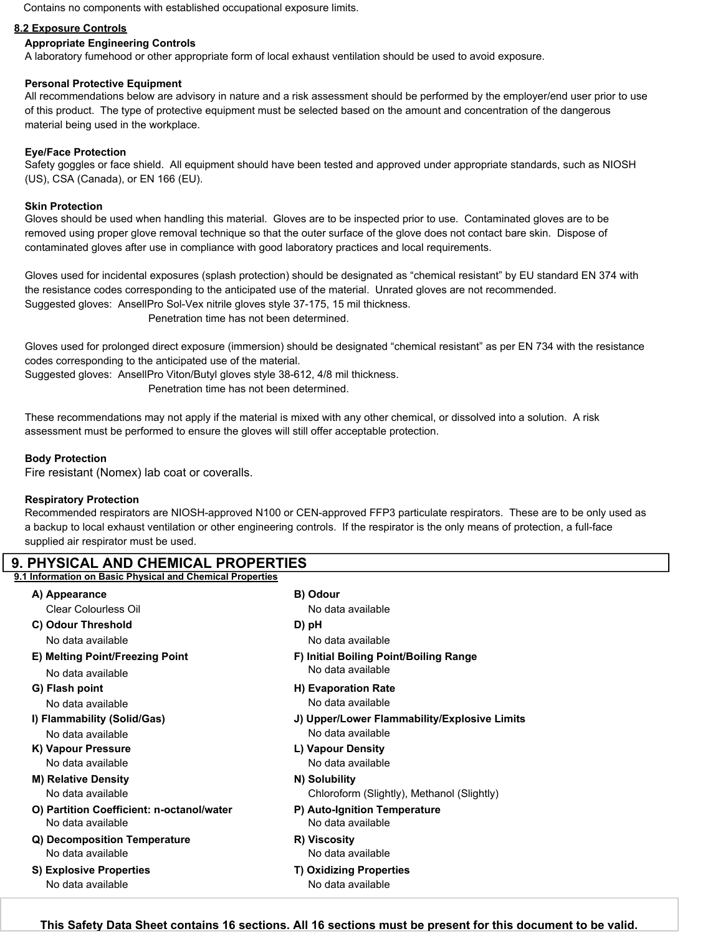Contains no components with established occupational exposure limits.

#### **8.2 Exposure Controls**

#### **Appropriate Engineering Controls**

A laboratory fumehood or other appropriate form of local exhaust ventilation should be used to avoid exposure.

#### **Personal Protective Equipment**

All recommendations below are advisory in nature and a risk assessment should be performed by the employer/end user prior to use of this product. The type of protective equipment must be selected based on the amount and concentration of the dangerous material being used in the workplace.

#### **Eye/Face Protection**

Safety goggles or face shield. All equipment should have been tested and approved under appropriate standards, such as NIOSH (US), CSA (Canada), or EN 166 (EU).

#### **Skin Protection**

Gloves should be used when handling this material. Gloves are to be inspected prior to use. Contaminated gloves are to be removed using proper glove removal technique so that the outer surface of the glove does not contact bare skin. Dispose of contaminated gloves after use in compliance with good laboratory practices and local requirements.

Gloves used for incidental exposures (splash protection) should be designated as "chemical resistant" by EU standard EN 374 with the resistance codes corresponding to the anticipated use of the material. Unrated gloves are not recommended. Suggested gloves: AnsellPro Sol-Vex nitrile gloves style 37-175, 15 mil thickness. Penetration time has not been determined.

Gloves used for prolonged direct exposure (immersion) should be designated "chemical resistant" as per EN 734 with the resistance codes corresponding to the anticipated use of the material.

Suggested gloves: AnsellPro Viton/Butyl gloves style 38-612, 4/8 mil thickness.

Penetration time has not been determined.

These recommendations may not apply if the material is mixed with any other chemical, or dissolved into a solution. A risk assessment must be performed to ensure the gloves will still offer acceptable protection.

#### **Body Protection**

Fire resistant (Nomex) lab coat or coveralls.

#### **Respiratory Protection**

Recommended respirators are NIOSH-approved N100 or CEN-approved FFP3 particulate respirators. These are to be only used as a backup to local exhaust ventilation or other engineering controls. If the respirator is the only means of protection, a full-face supplied air respirator must be used.

| A) Appearance                             | B) Odour                                     |
|-------------------------------------------|----------------------------------------------|
| Clear Colourless Oil                      | No data available                            |
| C) Odour Threshold                        | D) pH                                        |
| No data available                         | No data available                            |
| E) Melting Point/Freezing Point           | F) Initial Boiling Point/Boiling Range       |
| No data available                         | No data available                            |
| G) Flash point                            | H) Evaporation Rate                          |
| No data available                         | No data available                            |
| I) Flammability (Solid/Gas)               | J) Upper/Lower Flammability/Explosive Limits |
| No data available                         | No data available                            |
| K) Vapour Pressure                        | L) Vapour Density                            |
| No data available                         | No data available                            |
| <b>M) Relative Density</b>                | N) Solubility                                |
| No data available                         | Chloroform (Slightly), Methanol (Slightly)   |
| O) Partition Coefficient: n-octanol/water | P) Auto-Ignition Temperature                 |
| No data available                         | No data available                            |
| Q) Decomposition Temperature              | R) Viscosity                                 |
| No data available                         | No data available                            |
| <b>S) Explosive Properties</b>            | <b>T) Oxidizing Properties</b>               |
| No data available                         | No data available                            |

**This Safety Data Sheet contains 16 sections. All 16 sections must be present for this document to be valid.**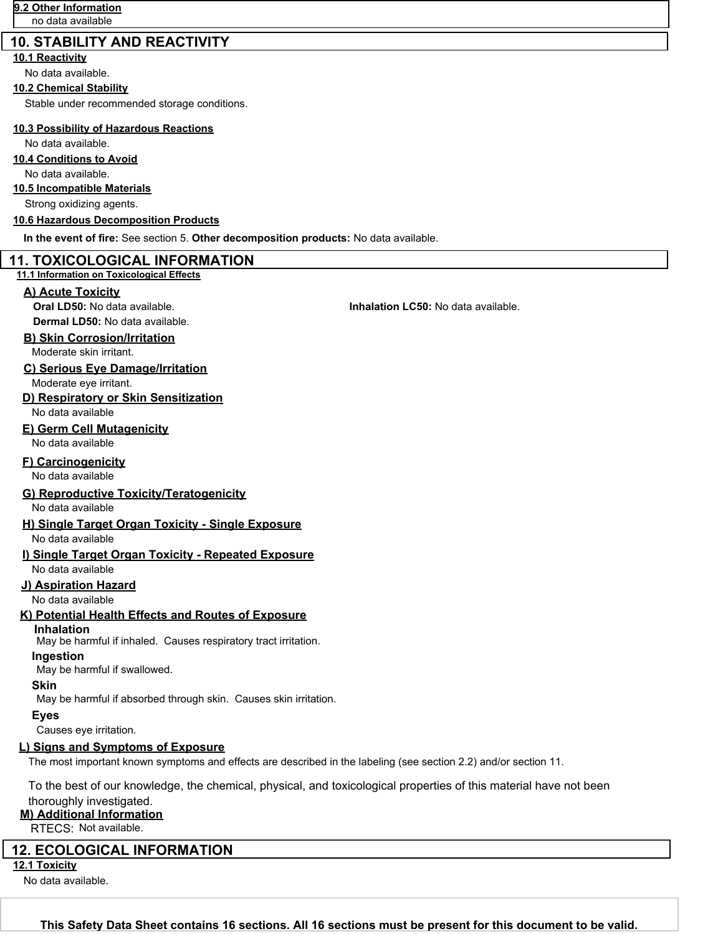# **10. STABILITY AND REACTIVITY**

# **10.1 Reactivity**

No data available.

#### **10.2 Chemical Stability**

Stable under recommended storage conditions.

#### **10.3 Possibility of Hazardous Reactions**

No data available.

### **10.4 Conditions to Avoid**

No data available.

#### **10.5 Incompatible Materials**

Strong oxidizing agents.

#### **10.6 Hazardous Decomposition Products**

**In the event of fire:** See section 5. **Other decomposition products:** No data available.

### **11. TOXICOLOGICAL INFORMATION**

#### **11.1 Information on Toxicological Effects**

#### **A) Acute Toxicity**

**Dermal LD50:** No data available.

### **B) Skin Corrosion/Irritation**

Moderate skin irritant.

#### **C) Serious Eye Damage/Irritation**

Moderate eye irritant.

#### **D) Respiratory or Skin Sensitization**

No data available

# **E) Germ Cell Mutagenicity**

No data available

#### **F) Carcinogenicity**

No data available

#### **G) Reproductive Toxicity/Teratogenicity**

No data available

#### **H) Single Target Organ Toxicity - Single Exposure**

No data available

# **I) Single Target Organ Toxicity - Repeated Exposure**

No data available

#### **J) Aspiration Hazard**

No data available

# **K) Potential Health Effects and Routes of Exposure**

**Inhalation**

May be harmful if inhaled. Causes respiratory tract irritation.

### **Ingestion**

May be harmful if swallowed.

# **Skin**

May be harmful if absorbed through skin. Causes skin irritation.

# **Eyes**

Causes eye irritation.

# **L) Signs and Symptoms of Exposure**

The most important known symptoms and effects are described in the labeling (see section 2.2) and/or section 11.

To the best of our knowledge, the chemical, physical, and toxicological properties of this material have not been

# thoroughly investigated.

**M) Additional Information**

RTECS: Not available.

# **12. ECOLOGICAL INFORMATION**

**12.1 Toxicity**

No data available.

**Oral LD50:** No data available. **Inhalation LC50:** No data available.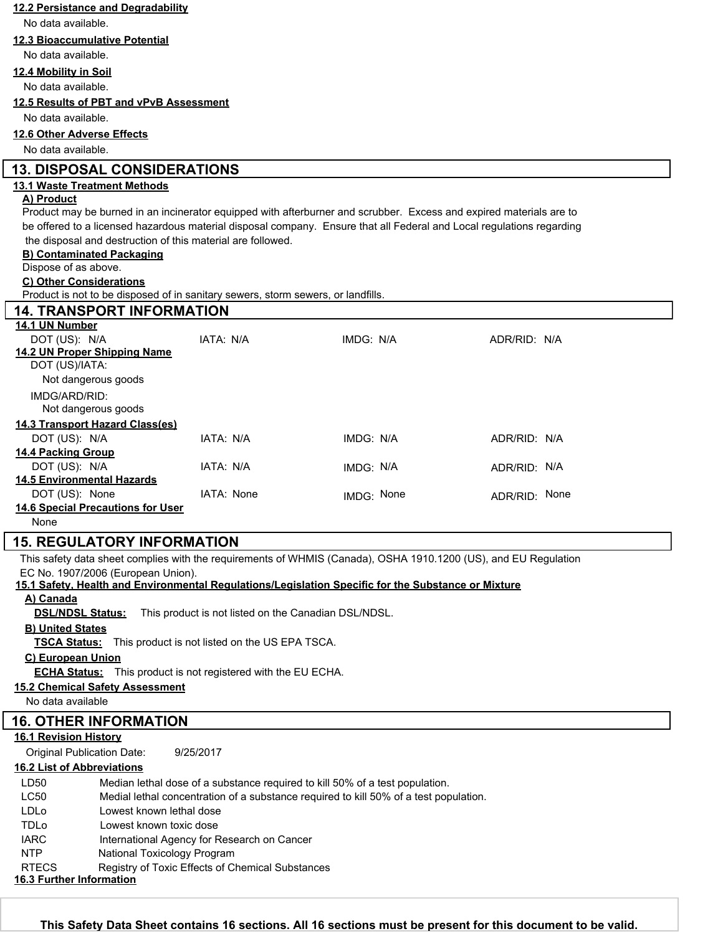| No data available.<br><b>12.3 Bioaccumulative Potential</b><br>No data available.<br>12.4 Mobility in Soil<br>No data available.<br>12.5 Results of PBT and vPvB Assessment<br>No data available.<br>12.6 Other Adverse Effects<br>No data available.<br><b>13. DISPOSAL CONSIDERATIONS</b><br><b>13.1 Waste Treatment Methods</b><br>A) Product<br>Product may be burned in an incinerator equipped with afterburner and scrubber. Excess and expired materials are to<br>be offered to a licensed hazardous material disposal company. Ensure that all Federal and Local regulations regarding<br>the disposal and destruction of this material are followed.<br><b>B) Contaminated Packaging</b><br>Dispose of as above.<br>C) Other Considerations<br>Product is not to be disposed of in sanitary sewers, storm sewers, or landfills.<br><b>14. TRANSPORT INFORMATION</b><br>14.1 UN Number<br>DOT (US): N/A<br>IATA: N/A<br>IMDG: N/A<br>ADR/RID: N/A<br>14.2 UN Proper Shipping Name<br>DOT (US)/IATA:<br>Not dangerous goods<br>IMDG/ARD/RID:<br>Not dangerous goods<br>14.3 Transport Hazard Class(es)<br>DOT (US): N/A<br>IATA: N/A<br>IMDG: N/A<br>ADR/RID: N/A<br><b>14.4 Packing Group</b><br>DOT (US): N/A<br>IATA: N/A<br>IMDG: N/A<br>ADR/RID: N/A<br><b>14.5 Environmental Hazards</b><br>DOT (US): None<br>IATA: None<br>IMDG: None<br>ADR/RID: None<br><b>14.6 Special Precautions for User</b><br>None<br><b>15. REGULATORY INFORMATION</b><br>This safety data sheet complies with the requirements of WHMIS (Canada), OSHA 1910.1200 (US), and EU Regulation<br>EC No. 1907/2006 (European Union).<br>15.1 Safety, Health and Environmental Requlations/Legislation Specific for the Substance or Mixture<br>A) Canada<br><b>DSL/NDSL Status:</b><br>This product is not listed on the Canadian DSL/NDSL.<br><b>B) United States</b><br><b>TSCA Status:</b> This product is not listed on the US EPA TSCA.<br>C) European Union<br><b>ECHA Status:</b> This product is not registered with the EU ECHA.<br><b>15.2 Chemical Safety Assessment</b><br>No data available<br><b>16. OTHER INFORMATION</b><br><b>16.1 Revision History</b><br><b>Original Publication Date:</b><br>9/25/2017<br><b>16.2 List of Abbreviations</b><br>LD50<br>Median lethal dose of a substance required to kill 50% of a test population.<br>LC50<br>Medial lethal concentration of a substance required to kill 50% of a test population.<br>LDLo<br>Lowest known lethal dose<br>TDLo<br>Lowest known toxic dose<br><b>IARC</b><br>International Agency for Research on Cancer<br><b>NTP</b><br>National Toxicology Program<br><b>RTECS</b><br>Registry of Toxic Effects of Chemical Substances<br>16.3 Further Information |                                    |  |  |  |  |  |  |  |
|--------------------------------------------------------------------------------------------------------------------------------------------------------------------------------------------------------------------------------------------------------------------------------------------------------------------------------------------------------------------------------------------------------------------------------------------------------------------------------------------------------------------------------------------------------------------------------------------------------------------------------------------------------------------------------------------------------------------------------------------------------------------------------------------------------------------------------------------------------------------------------------------------------------------------------------------------------------------------------------------------------------------------------------------------------------------------------------------------------------------------------------------------------------------------------------------------------------------------------------------------------------------------------------------------------------------------------------------------------------------------------------------------------------------------------------------------------------------------------------------------------------------------------------------------------------------------------------------------------------------------------------------------------------------------------------------------------------------------------------------------------------------------------------------------------------------------------------------------------------------------------------------------------------------------------------------------------------------------------------------------------------------------------------------------------------------------------------------------------------------------------------------------------------------------------------------------------------------------------------------------------------------------------------------------------------------------------------------------------------------------------------------------------------------------------------------------------------------------------------------------------------------------------------------------------------------------------------------------------------------------------------------------------------------------------------------------------------------------------|------------------------------------|--|--|--|--|--|--|--|
|                                                                                                                                                                                                                                                                                                                                                                                                                                                                                                                                                                                                                                                                                                                                                                                                                                                                                                                                                                                                                                                                                                                                                                                                                                                                                                                                                                                                                                                                                                                                                                                                                                                                                                                                                                                                                                                                                                                                                                                                                                                                                                                                                                                                                                                                                                                                                                                                                                                                                                                                                                                                                                                                                                                                | 12.2 Persistance and Degradability |  |  |  |  |  |  |  |
|                                                                                                                                                                                                                                                                                                                                                                                                                                                                                                                                                                                                                                                                                                                                                                                                                                                                                                                                                                                                                                                                                                                                                                                                                                                                                                                                                                                                                                                                                                                                                                                                                                                                                                                                                                                                                                                                                                                                                                                                                                                                                                                                                                                                                                                                                                                                                                                                                                                                                                                                                                                                                                                                                                                                |                                    |  |  |  |  |  |  |  |
|                                                                                                                                                                                                                                                                                                                                                                                                                                                                                                                                                                                                                                                                                                                                                                                                                                                                                                                                                                                                                                                                                                                                                                                                                                                                                                                                                                                                                                                                                                                                                                                                                                                                                                                                                                                                                                                                                                                                                                                                                                                                                                                                                                                                                                                                                                                                                                                                                                                                                                                                                                                                                                                                                                                                |                                    |  |  |  |  |  |  |  |
|                                                                                                                                                                                                                                                                                                                                                                                                                                                                                                                                                                                                                                                                                                                                                                                                                                                                                                                                                                                                                                                                                                                                                                                                                                                                                                                                                                                                                                                                                                                                                                                                                                                                                                                                                                                                                                                                                                                                                                                                                                                                                                                                                                                                                                                                                                                                                                                                                                                                                                                                                                                                                                                                                                                                |                                    |  |  |  |  |  |  |  |
|                                                                                                                                                                                                                                                                                                                                                                                                                                                                                                                                                                                                                                                                                                                                                                                                                                                                                                                                                                                                                                                                                                                                                                                                                                                                                                                                                                                                                                                                                                                                                                                                                                                                                                                                                                                                                                                                                                                                                                                                                                                                                                                                                                                                                                                                                                                                                                                                                                                                                                                                                                                                                                                                                                                                |                                    |  |  |  |  |  |  |  |
|                                                                                                                                                                                                                                                                                                                                                                                                                                                                                                                                                                                                                                                                                                                                                                                                                                                                                                                                                                                                                                                                                                                                                                                                                                                                                                                                                                                                                                                                                                                                                                                                                                                                                                                                                                                                                                                                                                                                                                                                                                                                                                                                                                                                                                                                                                                                                                                                                                                                                                                                                                                                                                                                                                                                |                                    |  |  |  |  |  |  |  |
|                                                                                                                                                                                                                                                                                                                                                                                                                                                                                                                                                                                                                                                                                                                                                                                                                                                                                                                                                                                                                                                                                                                                                                                                                                                                                                                                                                                                                                                                                                                                                                                                                                                                                                                                                                                                                                                                                                                                                                                                                                                                                                                                                                                                                                                                                                                                                                                                                                                                                                                                                                                                                                                                                                                                |                                    |  |  |  |  |  |  |  |
|                                                                                                                                                                                                                                                                                                                                                                                                                                                                                                                                                                                                                                                                                                                                                                                                                                                                                                                                                                                                                                                                                                                                                                                                                                                                                                                                                                                                                                                                                                                                                                                                                                                                                                                                                                                                                                                                                                                                                                                                                                                                                                                                                                                                                                                                                                                                                                                                                                                                                                                                                                                                                                                                                                                                |                                    |  |  |  |  |  |  |  |
|                                                                                                                                                                                                                                                                                                                                                                                                                                                                                                                                                                                                                                                                                                                                                                                                                                                                                                                                                                                                                                                                                                                                                                                                                                                                                                                                                                                                                                                                                                                                                                                                                                                                                                                                                                                                                                                                                                                                                                                                                                                                                                                                                                                                                                                                                                                                                                                                                                                                                                                                                                                                                                                                                                                                |                                    |  |  |  |  |  |  |  |
|                                                                                                                                                                                                                                                                                                                                                                                                                                                                                                                                                                                                                                                                                                                                                                                                                                                                                                                                                                                                                                                                                                                                                                                                                                                                                                                                                                                                                                                                                                                                                                                                                                                                                                                                                                                                                                                                                                                                                                                                                                                                                                                                                                                                                                                                                                                                                                                                                                                                                                                                                                                                                                                                                                                                |                                    |  |  |  |  |  |  |  |
|                                                                                                                                                                                                                                                                                                                                                                                                                                                                                                                                                                                                                                                                                                                                                                                                                                                                                                                                                                                                                                                                                                                                                                                                                                                                                                                                                                                                                                                                                                                                                                                                                                                                                                                                                                                                                                                                                                                                                                                                                                                                                                                                                                                                                                                                                                                                                                                                                                                                                                                                                                                                                                                                                                                                |                                    |  |  |  |  |  |  |  |
|                                                                                                                                                                                                                                                                                                                                                                                                                                                                                                                                                                                                                                                                                                                                                                                                                                                                                                                                                                                                                                                                                                                                                                                                                                                                                                                                                                                                                                                                                                                                                                                                                                                                                                                                                                                                                                                                                                                                                                                                                                                                                                                                                                                                                                                                                                                                                                                                                                                                                                                                                                                                                                                                                                                                |                                    |  |  |  |  |  |  |  |
|                                                                                                                                                                                                                                                                                                                                                                                                                                                                                                                                                                                                                                                                                                                                                                                                                                                                                                                                                                                                                                                                                                                                                                                                                                                                                                                                                                                                                                                                                                                                                                                                                                                                                                                                                                                                                                                                                                                                                                                                                                                                                                                                                                                                                                                                                                                                                                                                                                                                                                                                                                                                                                                                                                                                |                                    |  |  |  |  |  |  |  |
|                                                                                                                                                                                                                                                                                                                                                                                                                                                                                                                                                                                                                                                                                                                                                                                                                                                                                                                                                                                                                                                                                                                                                                                                                                                                                                                                                                                                                                                                                                                                                                                                                                                                                                                                                                                                                                                                                                                                                                                                                                                                                                                                                                                                                                                                                                                                                                                                                                                                                                                                                                                                                                                                                                                                |                                    |  |  |  |  |  |  |  |
|                                                                                                                                                                                                                                                                                                                                                                                                                                                                                                                                                                                                                                                                                                                                                                                                                                                                                                                                                                                                                                                                                                                                                                                                                                                                                                                                                                                                                                                                                                                                                                                                                                                                                                                                                                                                                                                                                                                                                                                                                                                                                                                                                                                                                                                                                                                                                                                                                                                                                                                                                                                                                                                                                                                                |                                    |  |  |  |  |  |  |  |
|                                                                                                                                                                                                                                                                                                                                                                                                                                                                                                                                                                                                                                                                                                                                                                                                                                                                                                                                                                                                                                                                                                                                                                                                                                                                                                                                                                                                                                                                                                                                                                                                                                                                                                                                                                                                                                                                                                                                                                                                                                                                                                                                                                                                                                                                                                                                                                                                                                                                                                                                                                                                                                                                                                                                |                                    |  |  |  |  |  |  |  |
|                                                                                                                                                                                                                                                                                                                                                                                                                                                                                                                                                                                                                                                                                                                                                                                                                                                                                                                                                                                                                                                                                                                                                                                                                                                                                                                                                                                                                                                                                                                                                                                                                                                                                                                                                                                                                                                                                                                                                                                                                                                                                                                                                                                                                                                                                                                                                                                                                                                                                                                                                                                                                                                                                                                                |                                    |  |  |  |  |  |  |  |
|                                                                                                                                                                                                                                                                                                                                                                                                                                                                                                                                                                                                                                                                                                                                                                                                                                                                                                                                                                                                                                                                                                                                                                                                                                                                                                                                                                                                                                                                                                                                                                                                                                                                                                                                                                                                                                                                                                                                                                                                                                                                                                                                                                                                                                                                                                                                                                                                                                                                                                                                                                                                                                                                                                                                |                                    |  |  |  |  |  |  |  |
|                                                                                                                                                                                                                                                                                                                                                                                                                                                                                                                                                                                                                                                                                                                                                                                                                                                                                                                                                                                                                                                                                                                                                                                                                                                                                                                                                                                                                                                                                                                                                                                                                                                                                                                                                                                                                                                                                                                                                                                                                                                                                                                                                                                                                                                                                                                                                                                                                                                                                                                                                                                                                                                                                                                                |                                    |  |  |  |  |  |  |  |
|                                                                                                                                                                                                                                                                                                                                                                                                                                                                                                                                                                                                                                                                                                                                                                                                                                                                                                                                                                                                                                                                                                                                                                                                                                                                                                                                                                                                                                                                                                                                                                                                                                                                                                                                                                                                                                                                                                                                                                                                                                                                                                                                                                                                                                                                                                                                                                                                                                                                                                                                                                                                                                                                                                                                |                                    |  |  |  |  |  |  |  |
|                                                                                                                                                                                                                                                                                                                                                                                                                                                                                                                                                                                                                                                                                                                                                                                                                                                                                                                                                                                                                                                                                                                                                                                                                                                                                                                                                                                                                                                                                                                                                                                                                                                                                                                                                                                                                                                                                                                                                                                                                                                                                                                                                                                                                                                                                                                                                                                                                                                                                                                                                                                                                                                                                                                                |                                    |  |  |  |  |  |  |  |
|                                                                                                                                                                                                                                                                                                                                                                                                                                                                                                                                                                                                                                                                                                                                                                                                                                                                                                                                                                                                                                                                                                                                                                                                                                                                                                                                                                                                                                                                                                                                                                                                                                                                                                                                                                                                                                                                                                                                                                                                                                                                                                                                                                                                                                                                                                                                                                                                                                                                                                                                                                                                                                                                                                                                |                                    |  |  |  |  |  |  |  |
|                                                                                                                                                                                                                                                                                                                                                                                                                                                                                                                                                                                                                                                                                                                                                                                                                                                                                                                                                                                                                                                                                                                                                                                                                                                                                                                                                                                                                                                                                                                                                                                                                                                                                                                                                                                                                                                                                                                                                                                                                                                                                                                                                                                                                                                                                                                                                                                                                                                                                                                                                                                                                                                                                                                                |                                    |  |  |  |  |  |  |  |
|                                                                                                                                                                                                                                                                                                                                                                                                                                                                                                                                                                                                                                                                                                                                                                                                                                                                                                                                                                                                                                                                                                                                                                                                                                                                                                                                                                                                                                                                                                                                                                                                                                                                                                                                                                                                                                                                                                                                                                                                                                                                                                                                                                                                                                                                                                                                                                                                                                                                                                                                                                                                                                                                                                                                |                                    |  |  |  |  |  |  |  |
|                                                                                                                                                                                                                                                                                                                                                                                                                                                                                                                                                                                                                                                                                                                                                                                                                                                                                                                                                                                                                                                                                                                                                                                                                                                                                                                                                                                                                                                                                                                                                                                                                                                                                                                                                                                                                                                                                                                                                                                                                                                                                                                                                                                                                                                                                                                                                                                                                                                                                                                                                                                                                                                                                                                                |                                    |  |  |  |  |  |  |  |
|                                                                                                                                                                                                                                                                                                                                                                                                                                                                                                                                                                                                                                                                                                                                                                                                                                                                                                                                                                                                                                                                                                                                                                                                                                                                                                                                                                                                                                                                                                                                                                                                                                                                                                                                                                                                                                                                                                                                                                                                                                                                                                                                                                                                                                                                                                                                                                                                                                                                                                                                                                                                                                                                                                                                |                                    |  |  |  |  |  |  |  |
|                                                                                                                                                                                                                                                                                                                                                                                                                                                                                                                                                                                                                                                                                                                                                                                                                                                                                                                                                                                                                                                                                                                                                                                                                                                                                                                                                                                                                                                                                                                                                                                                                                                                                                                                                                                                                                                                                                                                                                                                                                                                                                                                                                                                                                                                                                                                                                                                                                                                                                                                                                                                                                                                                                                                |                                    |  |  |  |  |  |  |  |
|                                                                                                                                                                                                                                                                                                                                                                                                                                                                                                                                                                                                                                                                                                                                                                                                                                                                                                                                                                                                                                                                                                                                                                                                                                                                                                                                                                                                                                                                                                                                                                                                                                                                                                                                                                                                                                                                                                                                                                                                                                                                                                                                                                                                                                                                                                                                                                                                                                                                                                                                                                                                                                                                                                                                |                                    |  |  |  |  |  |  |  |
|                                                                                                                                                                                                                                                                                                                                                                                                                                                                                                                                                                                                                                                                                                                                                                                                                                                                                                                                                                                                                                                                                                                                                                                                                                                                                                                                                                                                                                                                                                                                                                                                                                                                                                                                                                                                                                                                                                                                                                                                                                                                                                                                                                                                                                                                                                                                                                                                                                                                                                                                                                                                                                                                                                                                |                                    |  |  |  |  |  |  |  |
|                                                                                                                                                                                                                                                                                                                                                                                                                                                                                                                                                                                                                                                                                                                                                                                                                                                                                                                                                                                                                                                                                                                                                                                                                                                                                                                                                                                                                                                                                                                                                                                                                                                                                                                                                                                                                                                                                                                                                                                                                                                                                                                                                                                                                                                                                                                                                                                                                                                                                                                                                                                                                                                                                                                                |                                    |  |  |  |  |  |  |  |
|                                                                                                                                                                                                                                                                                                                                                                                                                                                                                                                                                                                                                                                                                                                                                                                                                                                                                                                                                                                                                                                                                                                                                                                                                                                                                                                                                                                                                                                                                                                                                                                                                                                                                                                                                                                                                                                                                                                                                                                                                                                                                                                                                                                                                                                                                                                                                                                                                                                                                                                                                                                                                                                                                                                                |                                    |  |  |  |  |  |  |  |
|                                                                                                                                                                                                                                                                                                                                                                                                                                                                                                                                                                                                                                                                                                                                                                                                                                                                                                                                                                                                                                                                                                                                                                                                                                                                                                                                                                                                                                                                                                                                                                                                                                                                                                                                                                                                                                                                                                                                                                                                                                                                                                                                                                                                                                                                                                                                                                                                                                                                                                                                                                                                                                                                                                                                |                                    |  |  |  |  |  |  |  |
|                                                                                                                                                                                                                                                                                                                                                                                                                                                                                                                                                                                                                                                                                                                                                                                                                                                                                                                                                                                                                                                                                                                                                                                                                                                                                                                                                                                                                                                                                                                                                                                                                                                                                                                                                                                                                                                                                                                                                                                                                                                                                                                                                                                                                                                                                                                                                                                                                                                                                                                                                                                                                                                                                                                                |                                    |  |  |  |  |  |  |  |
|                                                                                                                                                                                                                                                                                                                                                                                                                                                                                                                                                                                                                                                                                                                                                                                                                                                                                                                                                                                                                                                                                                                                                                                                                                                                                                                                                                                                                                                                                                                                                                                                                                                                                                                                                                                                                                                                                                                                                                                                                                                                                                                                                                                                                                                                                                                                                                                                                                                                                                                                                                                                                                                                                                                                |                                    |  |  |  |  |  |  |  |
|                                                                                                                                                                                                                                                                                                                                                                                                                                                                                                                                                                                                                                                                                                                                                                                                                                                                                                                                                                                                                                                                                                                                                                                                                                                                                                                                                                                                                                                                                                                                                                                                                                                                                                                                                                                                                                                                                                                                                                                                                                                                                                                                                                                                                                                                                                                                                                                                                                                                                                                                                                                                                                                                                                                                |                                    |  |  |  |  |  |  |  |
|                                                                                                                                                                                                                                                                                                                                                                                                                                                                                                                                                                                                                                                                                                                                                                                                                                                                                                                                                                                                                                                                                                                                                                                                                                                                                                                                                                                                                                                                                                                                                                                                                                                                                                                                                                                                                                                                                                                                                                                                                                                                                                                                                                                                                                                                                                                                                                                                                                                                                                                                                                                                                                                                                                                                |                                    |  |  |  |  |  |  |  |
|                                                                                                                                                                                                                                                                                                                                                                                                                                                                                                                                                                                                                                                                                                                                                                                                                                                                                                                                                                                                                                                                                                                                                                                                                                                                                                                                                                                                                                                                                                                                                                                                                                                                                                                                                                                                                                                                                                                                                                                                                                                                                                                                                                                                                                                                                                                                                                                                                                                                                                                                                                                                                                                                                                                                |                                    |  |  |  |  |  |  |  |
|                                                                                                                                                                                                                                                                                                                                                                                                                                                                                                                                                                                                                                                                                                                                                                                                                                                                                                                                                                                                                                                                                                                                                                                                                                                                                                                                                                                                                                                                                                                                                                                                                                                                                                                                                                                                                                                                                                                                                                                                                                                                                                                                                                                                                                                                                                                                                                                                                                                                                                                                                                                                                                                                                                                                |                                    |  |  |  |  |  |  |  |
|                                                                                                                                                                                                                                                                                                                                                                                                                                                                                                                                                                                                                                                                                                                                                                                                                                                                                                                                                                                                                                                                                                                                                                                                                                                                                                                                                                                                                                                                                                                                                                                                                                                                                                                                                                                                                                                                                                                                                                                                                                                                                                                                                                                                                                                                                                                                                                                                                                                                                                                                                                                                                                                                                                                                |                                    |  |  |  |  |  |  |  |
|                                                                                                                                                                                                                                                                                                                                                                                                                                                                                                                                                                                                                                                                                                                                                                                                                                                                                                                                                                                                                                                                                                                                                                                                                                                                                                                                                                                                                                                                                                                                                                                                                                                                                                                                                                                                                                                                                                                                                                                                                                                                                                                                                                                                                                                                                                                                                                                                                                                                                                                                                                                                                                                                                                                                |                                    |  |  |  |  |  |  |  |
|                                                                                                                                                                                                                                                                                                                                                                                                                                                                                                                                                                                                                                                                                                                                                                                                                                                                                                                                                                                                                                                                                                                                                                                                                                                                                                                                                                                                                                                                                                                                                                                                                                                                                                                                                                                                                                                                                                                                                                                                                                                                                                                                                                                                                                                                                                                                                                                                                                                                                                                                                                                                                                                                                                                                |                                    |  |  |  |  |  |  |  |
|                                                                                                                                                                                                                                                                                                                                                                                                                                                                                                                                                                                                                                                                                                                                                                                                                                                                                                                                                                                                                                                                                                                                                                                                                                                                                                                                                                                                                                                                                                                                                                                                                                                                                                                                                                                                                                                                                                                                                                                                                                                                                                                                                                                                                                                                                                                                                                                                                                                                                                                                                                                                                                                                                                                                |                                    |  |  |  |  |  |  |  |
|                                                                                                                                                                                                                                                                                                                                                                                                                                                                                                                                                                                                                                                                                                                                                                                                                                                                                                                                                                                                                                                                                                                                                                                                                                                                                                                                                                                                                                                                                                                                                                                                                                                                                                                                                                                                                                                                                                                                                                                                                                                                                                                                                                                                                                                                                                                                                                                                                                                                                                                                                                                                                                                                                                                                |                                    |  |  |  |  |  |  |  |
|                                                                                                                                                                                                                                                                                                                                                                                                                                                                                                                                                                                                                                                                                                                                                                                                                                                                                                                                                                                                                                                                                                                                                                                                                                                                                                                                                                                                                                                                                                                                                                                                                                                                                                                                                                                                                                                                                                                                                                                                                                                                                                                                                                                                                                                                                                                                                                                                                                                                                                                                                                                                                                                                                                                                |                                    |  |  |  |  |  |  |  |
|                                                                                                                                                                                                                                                                                                                                                                                                                                                                                                                                                                                                                                                                                                                                                                                                                                                                                                                                                                                                                                                                                                                                                                                                                                                                                                                                                                                                                                                                                                                                                                                                                                                                                                                                                                                                                                                                                                                                                                                                                                                                                                                                                                                                                                                                                                                                                                                                                                                                                                                                                                                                                                                                                                                                |                                    |  |  |  |  |  |  |  |
|                                                                                                                                                                                                                                                                                                                                                                                                                                                                                                                                                                                                                                                                                                                                                                                                                                                                                                                                                                                                                                                                                                                                                                                                                                                                                                                                                                                                                                                                                                                                                                                                                                                                                                                                                                                                                                                                                                                                                                                                                                                                                                                                                                                                                                                                                                                                                                                                                                                                                                                                                                                                                                                                                                                                |                                    |  |  |  |  |  |  |  |
|                                                                                                                                                                                                                                                                                                                                                                                                                                                                                                                                                                                                                                                                                                                                                                                                                                                                                                                                                                                                                                                                                                                                                                                                                                                                                                                                                                                                                                                                                                                                                                                                                                                                                                                                                                                                                                                                                                                                                                                                                                                                                                                                                                                                                                                                                                                                                                                                                                                                                                                                                                                                                                                                                                                                |                                    |  |  |  |  |  |  |  |
|                                                                                                                                                                                                                                                                                                                                                                                                                                                                                                                                                                                                                                                                                                                                                                                                                                                                                                                                                                                                                                                                                                                                                                                                                                                                                                                                                                                                                                                                                                                                                                                                                                                                                                                                                                                                                                                                                                                                                                                                                                                                                                                                                                                                                                                                                                                                                                                                                                                                                                                                                                                                                                                                                                                                |                                    |  |  |  |  |  |  |  |
|                                                                                                                                                                                                                                                                                                                                                                                                                                                                                                                                                                                                                                                                                                                                                                                                                                                                                                                                                                                                                                                                                                                                                                                                                                                                                                                                                                                                                                                                                                                                                                                                                                                                                                                                                                                                                                                                                                                                                                                                                                                                                                                                                                                                                                                                                                                                                                                                                                                                                                                                                                                                                                                                                                                                |                                    |  |  |  |  |  |  |  |
|                                                                                                                                                                                                                                                                                                                                                                                                                                                                                                                                                                                                                                                                                                                                                                                                                                                                                                                                                                                                                                                                                                                                                                                                                                                                                                                                                                                                                                                                                                                                                                                                                                                                                                                                                                                                                                                                                                                                                                                                                                                                                                                                                                                                                                                                                                                                                                                                                                                                                                                                                                                                                                                                                                                                |                                    |  |  |  |  |  |  |  |
|                                                                                                                                                                                                                                                                                                                                                                                                                                                                                                                                                                                                                                                                                                                                                                                                                                                                                                                                                                                                                                                                                                                                                                                                                                                                                                                                                                                                                                                                                                                                                                                                                                                                                                                                                                                                                                                                                                                                                                                                                                                                                                                                                                                                                                                                                                                                                                                                                                                                                                                                                                                                                                                                                                                                |                                    |  |  |  |  |  |  |  |
|                                                                                                                                                                                                                                                                                                                                                                                                                                                                                                                                                                                                                                                                                                                                                                                                                                                                                                                                                                                                                                                                                                                                                                                                                                                                                                                                                                                                                                                                                                                                                                                                                                                                                                                                                                                                                                                                                                                                                                                                                                                                                                                                                                                                                                                                                                                                                                                                                                                                                                                                                                                                                                                                                                                                |                                    |  |  |  |  |  |  |  |

Toronto Research Chemicals - M547905 Page <sup>5</sup> **This Safety Data Sheet contains 16 sections. All 16 sections must be present for this document to be valid.**